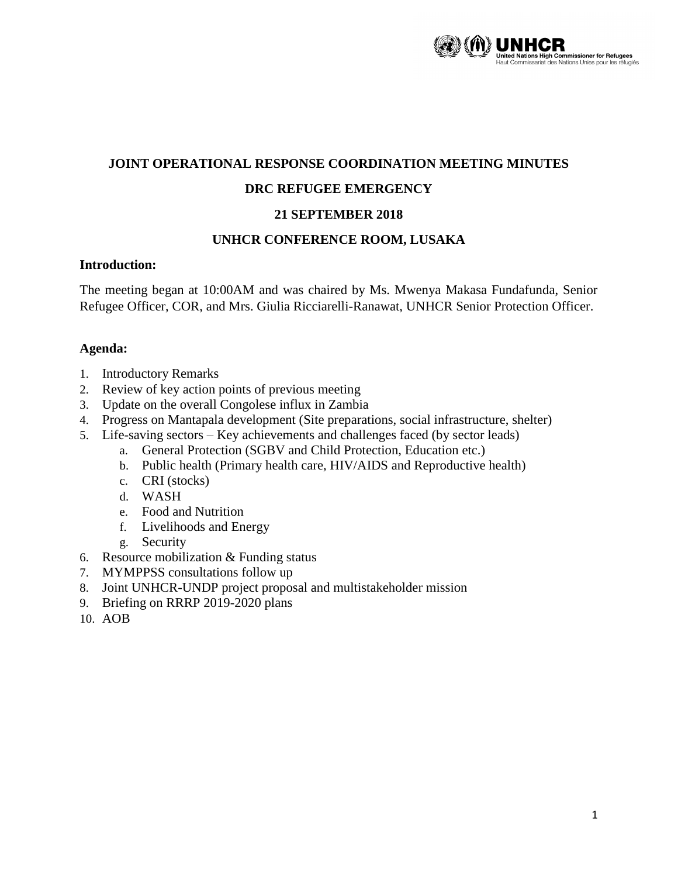

#### **JOINT OPERATIONAL RESPONSE COORDINATION MEETING MINUTES**

### **DRC REFUGEE EMERGENCY**

### **21 SEPTEMBER 2018**

#### **UNHCR CONFERENCE ROOM, LUSAKA**

#### **Introduction:**

The meeting began at 10:00AM and was chaired by Ms. Mwenya Makasa Fundafunda, Senior Refugee Officer, COR, and Mrs. Giulia Ricciarelli-Ranawat, UNHCR Senior Protection Officer.

#### **Agenda:**

- 1. Introductory Remarks
- 2. Review of key action points of previous meeting
- 3. Update on the overall Congolese influx in Zambia
- 4. Progress on Mantapala development (Site preparations, social infrastructure, shelter)
- 5. Life-saving sectors Key achievements and challenges faced (by sector leads)
	- a. General Protection (SGBV and Child Protection, Education etc.)
	- b. Public health (Primary health care, HIV/AIDS and Reproductive health)
	- c. CRI (stocks)
	- d. WASH
	- e. Food and Nutrition
	- f. Livelihoods and Energy
	- g. Security
- 6. Resource mobilization & Funding status
- 7. MYMPPSS consultations follow up
- 8. Joint UNHCR-UNDP project proposal and multistakeholder mission
- 9. Briefing on RRRP 2019-2020 plans
- 10. AOB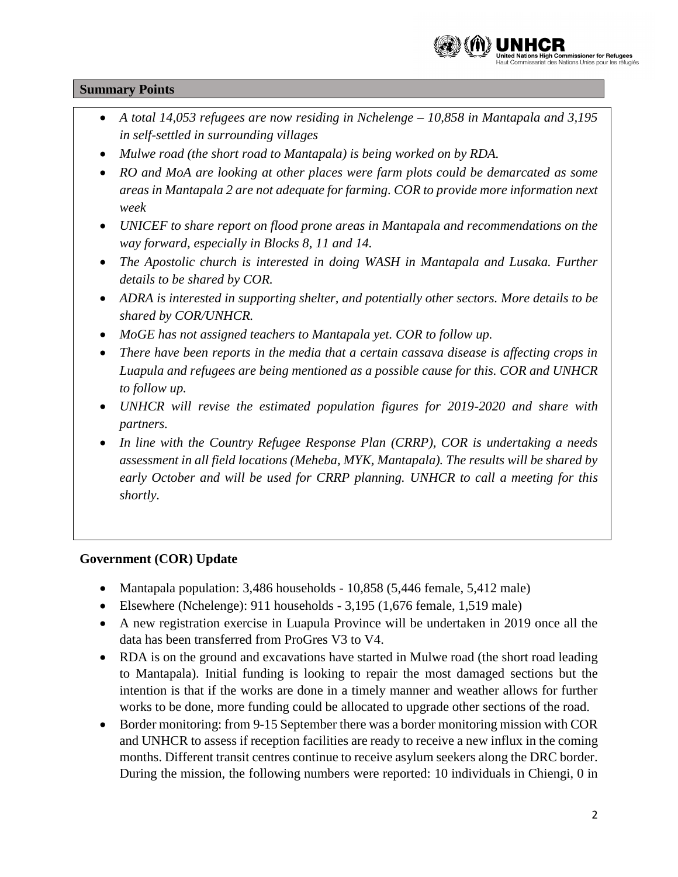

### **Summary Points**

- *A total 14,053 refugees are now residing in Nchelenge – 10,858 in Mantapala and 3,195 in self-settled in surrounding villages*
- *Mulwe road (the short road to Mantapala) is being worked on by RDA.*
- *RO and MoA are looking at other places were farm plots could be demarcated as some areas in Mantapala 2 are not adequate for farming. COR to provide more information next week*
- *UNICEF to share report on flood prone areas in Mantapala and recommendations on the way forward, especially in Blocks 8, 11 and 14.*
- The Apostolic church is interested in doing WASH in Mantapala and Lusaka. Further *details to be shared by COR.*
- *ADRA is interested in supporting shelter, and potentially other sectors. More details to be shared by COR/UNHCR.*
- *MoGE has not assigned teachers to Mantapala yet. COR to follow up.*
- *There have been reports in the media that a certain cassava disease is affecting crops in Luapula and refugees are being mentioned as a possible cause for this. COR and UNHCR to follow up.*
- *UNHCR will revise the estimated population figures for 2019-2020 and share with partners.*
- *In line with the Country Refugee Response Plan (CRRP), COR is undertaking a needs assessment in all field locations (Meheba, MYK, Mantapala). The results will be shared by early October and will be used for CRRP planning. UNHCR to call a meeting for this shortly.*

### **Government (COR) Update**

- Mantapala population: 3,486 households 10,858 (5,446 female, 5,412 male)
- Elsewhere (Nchelenge): 911 households 3,195 (1,676 female, 1,519 male)
- A new registration exercise in Luapula Province will be undertaken in 2019 once all the data has been transferred from ProGres V3 to V4.
- RDA is on the ground and excavations have started in Mulwe road (the short road leading to Mantapala). Initial funding is looking to repair the most damaged sections but the intention is that if the works are done in a timely manner and weather allows for further works to be done, more funding could be allocated to upgrade other sections of the road.
- Border monitoring: from 9-15 September there was a border monitoring mission with COR and UNHCR to assess if reception facilities are ready to receive a new influx in the coming months. Different transit centres continue to receive asylum seekers along the DRC border. During the mission, the following numbers were reported: 10 individuals in Chiengi, 0 in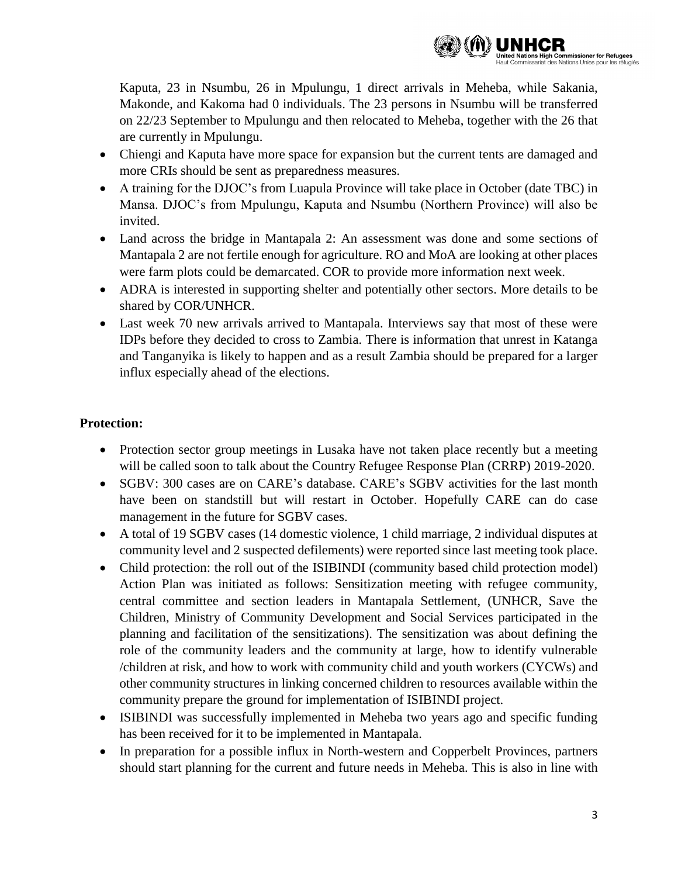

Kaputa, 23 in Nsumbu, 26 in Mpulungu, 1 direct arrivals in Meheba, while Sakania, Makonde, and Kakoma had 0 individuals. The 23 persons in Nsumbu will be transferred on 22/23 September to Mpulungu and then relocated to Meheba, together with the 26 that are currently in Mpulungu.

- Chiengi and Kaputa have more space for expansion but the current tents are damaged and more CRIs should be sent as preparedness measures.
- A training for the DJOC's from Luapula Province will take place in October (date TBC) in Mansa. DJOC's from Mpulungu, Kaputa and Nsumbu (Northern Province) will also be invited.
- Land across the bridge in Mantapala 2: An assessment was done and some sections of Mantapala 2 are not fertile enough for agriculture. RO and MoA are looking at other places were farm plots could be demarcated. COR to provide more information next week.
- ADRA is interested in supporting shelter and potentially other sectors. More details to be shared by COR/UNHCR.
- Last week 70 new arrivals arrived to Mantapala. Interviews say that most of these were IDPs before they decided to cross to Zambia. There is information that unrest in Katanga and Tanganyika is likely to happen and as a result Zambia should be prepared for a larger influx especially ahead of the elections.

# **Protection:**

- Protection sector group meetings in Lusaka have not taken place recently but a meeting will be called soon to talk about the Country Refugee Response Plan (CRRP) 2019-2020.
- SGBV: 300 cases are on CARE's database. CARE's SGBV activities for the last month have been on standstill but will restart in October. Hopefully CARE can do case management in the future for SGBV cases.
- A total of 19 SGBV cases (14 domestic violence, 1 child marriage, 2 individual disputes at community level and 2 suspected defilements) were reported since last meeting took place.
- Child protection: the roll out of the ISIBINDI (community based child protection model) Action Plan was initiated as follows: Sensitization meeting with refugee community, central committee and section leaders in Mantapala Settlement, (UNHCR, Save the Children, Ministry of Community Development and Social Services participated in the planning and facilitation of the sensitizations). The sensitization was about defining the role of the community leaders and the community at large, how to identify vulnerable /children at risk, and how to work with community child and youth workers (CYCWs) and other community structures in linking concerned children to resources available within the community prepare the ground for implementation of ISIBINDI project.
- ISIBINDI was successfully implemented in Meheba two years ago and specific funding has been received for it to be implemented in Mantapala.
- In preparation for a possible influx in North-western and Copperbelt Provinces, partners should start planning for the current and future needs in Meheba. This is also in line with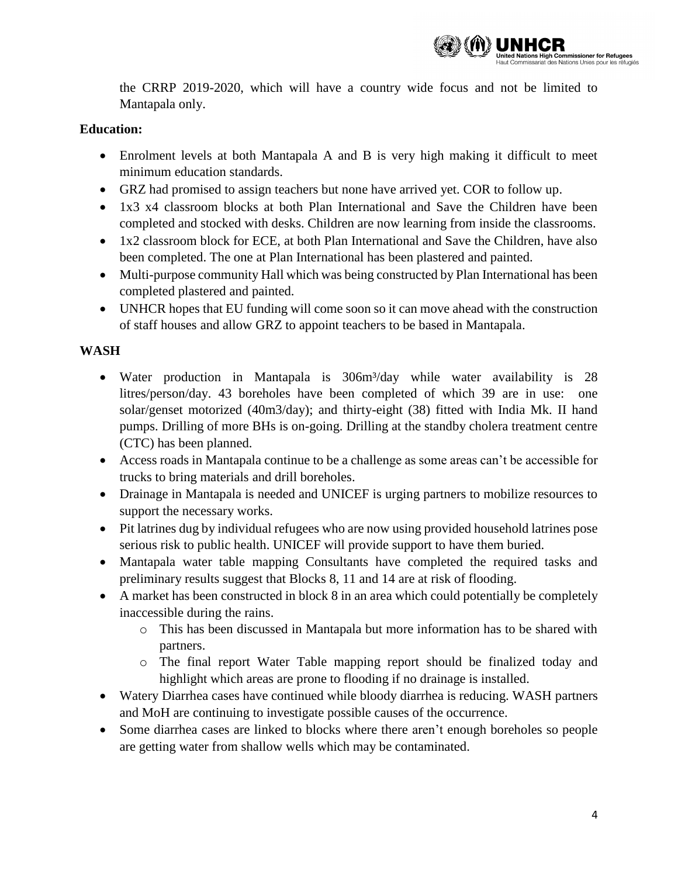

the CRRP 2019-2020, which will have a country wide focus and not be limited to Mantapala only.

### **Education:**

- Enrolment levels at both Mantapala A and B is very high making it difficult to meet minimum education standards.
- GRZ had promised to assign teachers but none have arrived yet. COR to follow up.
- 1x3 x4 classroom blocks at both Plan International and Save the Children have been completed and stocked with desks. Children are now learning from inside the classrooms.
- 1x2 classroom block for ECE, at both Plan International and Save the Children, have also been completed. The one at Plan International has been plastered and painted.
- Multi-purpose community Hall which was being constructed by Plan International has been completed plastered and painted.
- UNHCR hopes that EU funding will come soon so it can move ahead with the construction of staff houses and allow GRZ to appoint teachers to be based in Mantapala.

### **WASH**

- Water production in Mantapala is 306m<sup>3</sup>/day while water availability is 28 litres/person/day. 43 boreholes have been completed of which 39 are in use: one solar/genset motorized (40m3/day); and thirty-eight (38) fitted with India Mk. II hand pumps. Drilling of more BHs is on-going. Drilling at the standby cholera treatment centre (CTC) has been planned.
- Access roads in Mantapala continue to be a challenge as some areas can't be accessible for trucks to bring materials and drill boreholes.
- Drainage in Mantapala is needed and UNICEF is urging partners to mobilize resources to support the necessary works.
- Pit latrines dug by individual refugees who are now using provided household latrines pose serious risk to public health. UNICEF will provide support to have them buried.
- Mantapala water table mapping Consultants have completed the required tasks and preliminary results suggest that Blocks 8, 11 and 14 are at risk of flooding.
- A market has been constructed in block 8 in an area which could potentially be completely inaccessible during the rains.
	- o This has been discussed in Mantapala but more information has to be shared with partners.
	- o The final report Water Table mapping report should be finalized today and highlight which areas are prone to flooding if no drainage is installed.
- Watery Diarrhea cases have continued while bloody diarrhea is reducing. WASH partners and MoH are continuing to investigate possible causes of the occurrence.
- Some diarrhea cases are linked to blocks where there aren't enough boreholes so people are getting water from shallow wells which may be contaminated.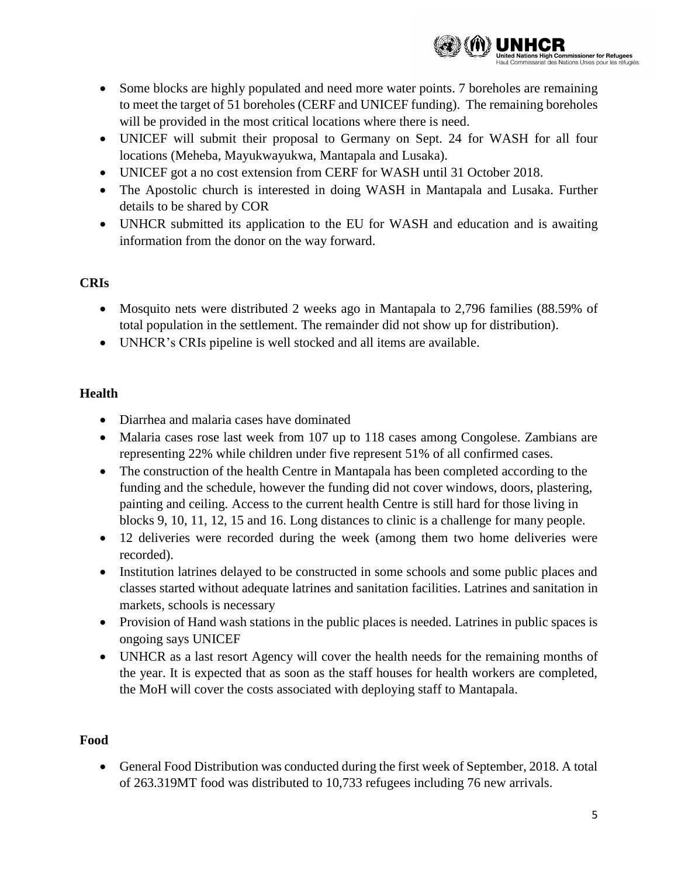

- Some blocks are highly populated and need more water points. 7 boreholes are remaining to meet the target of 51 boreholes (CERF and UNICEF funding). The remaining boreholes will be provided in the most critical locations where there is need.
- UNICEF will submit their proposal to Germany on Sept. 24 for WASH for all four locations (Meheba, Mayukwayukwa, Mantapala and Lusaka).
- UNICEF got a no cost extension from CERF for WASH until 31 October 2018.
- The Apostolic church is interested in doing WASH in Mantapala and Lusaka. Further details to be shared by COR
- UNHCR submitted its application to the EU for WASH and education and is awaiting information from the donor on the way forward.

# **CRIs**

- Mosquito nets were distributed 2 weeks ago in Mantapala to 2,796 families (88.59% of total population in the settlement. The remainder did not show up for distribution).
- UNHCR's CRIs pipeline is well stocked and all items are available.

# **Health**

- Diarrhea and malaria cases have dominated
- Malaria cases rose last week from 107 up to 118 cases among Congolese. Zambians are representing 22% while children under five represent 51% of all confirmed cases.
- The construction of the health Centre in Mantapala has been completed according to the funding and the schedule, however the funding did not cover windows, doors, plastering, painting and ceiling. Access to the current health Centre is still hard for those living in blocks 9, 10, 11, 12, 15 and 16. Long distances to clinic is a challenge for many people.
- 12 deliveries were recorded during the week (among them two home deliveries were recorded).
- Institution latrines delayed to be constructed in some schools and some public places and classes started without adequate latrines and sanitation facilities. Latrines and sanitation in markets, schools is necessary
- Provision of Hand wash stations in the public places is needed. Latrines in public spaces is ongoing says UNICEF
- UNHCR as a last resort Agency will cover the health needs for the remaining months of the year. It is expected that as soon as the staff houses for health workers are completed, the MoH will cover the costs associated with deploying staff to Mantapala.

### **Food**

 General Food Distribution was conducted during the first week of September, 2018. A total of 263.319MT food was distributed to 10,733 refugees including 76 new arrivals.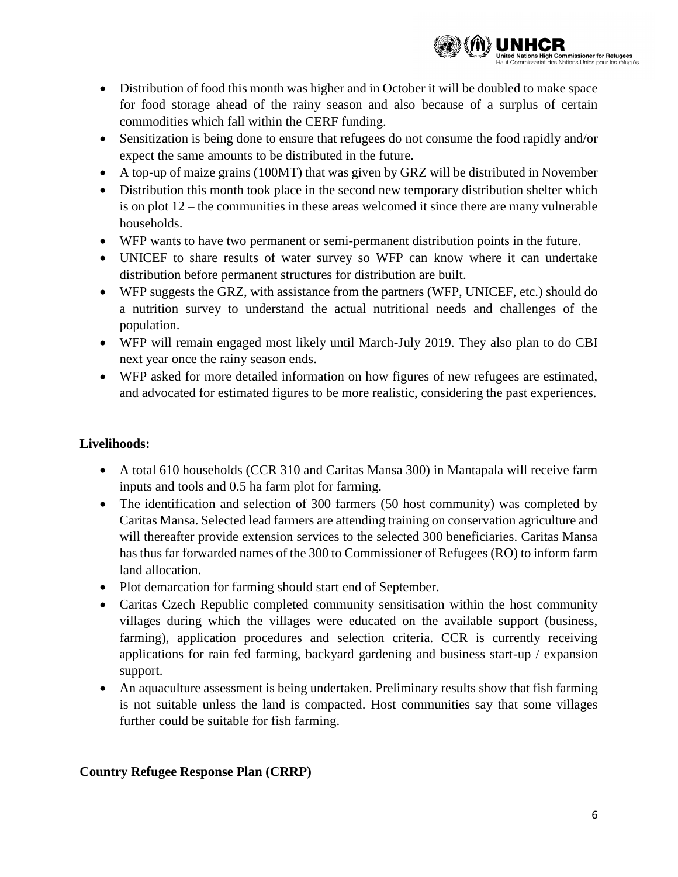

- Distribution of food this month was higher and in October it will be doubled to make space for food storage ahead of the rainy season and also because of a surplus of certain commodities which fall within the CERF funding.
- Sensitization is being done to ensure that refugees do not consume the food rapidly and/or expect the same amounts to be distributed in the future.
- A top-up of maize grains (100MT) that was given by GRZ will be distributed in November
- Distribution this month took place in the second new temporary distribution shelter which is on plot 12 – the communities in these areas welcomed it since there are many vulnerable households.
- WFP wants to have two permanent or semi-permanent distribution points in the future.
- UNICEF to share results of water survey so WFP can know where it can undertake distribution before permanent structures for distribution are built.
- WFP suggests the GRZ, with assistance from the partners (WFP, UNICEF, etc.) should do a nutrition survey to understand the actual nutritional needs and challenges of the population.
- WFP will remain engaged most likely until March-July 2019. They also plan to do CBI next year once the rainy season ends.
- WFP asked for more detailed information on how figures of new refugees are estimated, and advocated for estimated figures to be more realistic, considering the past experiences.

## **Livelihoods:**

- A total 610 households (CCR 310 and Caritas Mansa 300) in Mantapala will receive farm inputs and tools and 0.5 ha farm plot for farming.
- The identification and selection of 300 farmers (50 host community) was completed by Caritas Mansa. Selected lead farmers are attending training on conservation agriculture and will thereafter provide extension services to the selected 300 beneficiaries. Caritas Mansa has thus far forwarded names of the 300 to Commissioner of Refugees (RO) to inform farm land allocation.
- Plot demarcation for farming should start end of September.
- Caritas Czech Republic completed community sensitisation within the host community villages during which the villages were educated on the available support (business, farming), application procedures and selection criteria. CCR is currently receiving applications for rain fed farming, backyard gardening and business start-up / expansion support.
- An aquaculture assessment is being undertaken. Preliminary results show that fish farming is not suitable unless the land is compacted. Host communities say that some villages further could be suitable for fish farming.

### **Country Refugee Response Plan (CRRP)**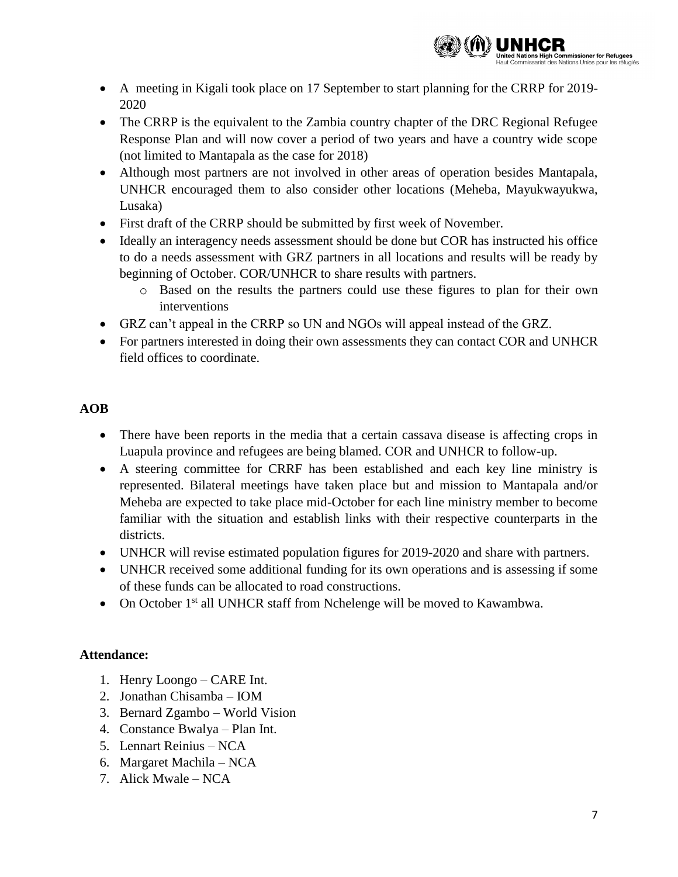

- A meeting in Kigali took place on 17 September to start planning for the CRRP for 2019- 2020
- The CRRP is the equivalent to the Zambia country chapter of the DRC Regional Refugee Response Plan and will now cover a period of two years and have a country wide scope (not limited to Mantapala as the case for 2018)
- Although most partners are not involved in other areas of operation besides Mantapala, UNHCR encouraged them to also consider other locations (Meheba, Mayukwayukwa, Lusaka)
- First draft of the CRRP should be submitted by first week of November.
- Ideally an interagency needs assessment should be done but COR has instructed his office to do a needs assessment with GRZ partners in all locations and results will be ready by beginning of October. COR/UNHCR to share results with partners.
	- o Based on the results the partners could use these figures to plan for their own interventions
- GRZ can't appeal in the CRRP so UN and NGOs will appeal instead of the GRZ.
- For partners interested in doing their own assessments they can contact COR and UNHCR field offices to coordinate.

# **AOB**

- There have been reports in the media that a certain cassava disease is affecting crops in Luapula province and refugees are being blamed. COR and UNHCR to follow-up.
- A steering committee for CRRF has been established and each key line ministry is represented. Bilateral meetings have taken place but and mission to Mantapala and/or Meheba are expected to take place mid-October for each line ministry member to become familiar with the situation and establish links with their respective counterparts in the districts.
- UNHCR will revise estimated population figures for 2019-2020 and share with partners.
- UNHCR received some additional funding for its own operations and is assessing if some of these funds can be allocated to road constructions.
- On October  $1<sup>st</sup>$  all UNHCR staff from Nchelenge will be moved to Kawambwa.

# **Attendance:**

- 1. Henry Loongo CARE Int.
- 2. Jonathan Chisamba IOM
- 3. Bernard Zgambo World Vision
- 4. Constance Bwalya Plan Int.
- 5. Lennart Reinius NCA
- 6. Margaret Machila NCA
- 7. Alick Mwale NCA